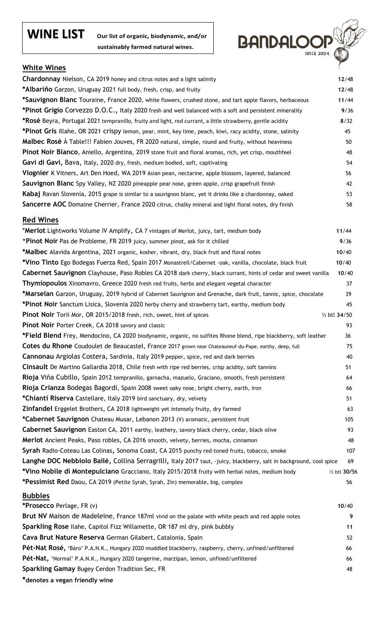## **WINE LIST Our list of organic, biodynamic, and/or**

 **sustainably farmed natural wines.**



#### **White Wines**

| <b>Chardonnay</b> Nielson, CA 2019 honey and citrus notes and a light salinity                                      | 12/48         |
|---------------------------------------------------------------------------------------------------------------------|---------------|
| *Albariňo Garzon, Uruguay 2021 full body, fresh, crisp, and fruity                                                  | 12/48         |
| *Sauvignon Blanc Touraine, France 2020, white flowers, crushed stone, and tart apple flavors, herbaceous            | 11/44         |
| *Pinot Grigio Corvezzo D.O.C., Italy 2020 fresh and well balanced with a soft and persistent minerality             | 9/36          |
| *Rosé Beyra, Portugal 2021 tempranillo, fruity and light, red currant, a little strawberry, gentle acidity          | 8/32          |
| *Pinot Gris Illahe, OR 2021 crispy lemon, pear, mint, key lime, peach, kiwi, racy acidity, stone, salinity          | 45            |
| Malbec Rosè À Table!!! Fabien Jouves, FR 2020 natural, simple, round and fruity, without heaviness                  | 50            |
| Pinot Noir Blanco, Aniello, Argentina, 2019 stone fruit and floral aromas, rich, yet crisp, mouthfeel               | 48            |
| Gavi di Gavi, Bava, Italy, 2020 dry, fresh, medium bodied, soft, captivating                                        | 54            |
| Viognier K Vitners, Art Den Hoed, WA 2019 Asian pean, nectarine, apple blossom, layered, balanced                   | 56            |
| Sauvignon Blanc Spy Valley, NZ 2020 pineapple pear nose, green apple, crisp grapefruit finish                       | 42            |
| Kabaj Ravan Slovenia, 2015 grape is similar to a sauvignon blanc, yet it drinks like a chardonnay, oaked            | 53            |
| Sancerre AOC Domaine Cherrier, France 2020 citrus, chalky mineral and light floral notes, dry finish                | 58            |
| <b>Red Wines</b>                                                                                                    |               |
| *Merlot Lightworks Volume IV Amplify, CA 7 vintages of Merlot, juicy, tart, medium body                             | 11/44         |
| *Pinot Noir Pas de Probleme, FR 2019 juicy, summer pinot, ask for it chilled                                        | 9/36          |
| <b>*Malbec</b> Alavida Argentina, 2021 organic, kosher, vibrant, dry, black fruit and floral notes                  | 10/40         |
| *Vino Tinto Ego Bodegas Fuerza Red, Spain 2017 Monastrell/Cabernet -oak, vanilla, chocolate, black fruit            | 10/40         |
| Cabernet Sauvignon Clayhouse, Paso Robles CA 2018 dark cherry, black currant, hints of cedar and sweet vanilla      | 10/40         |
| <b>Thymiopoulos</b> Xinomavro, Greece 2020 fresh red fruits, herbs and elegant vegetal character                    | 37            |
| *Marselan Garzon, Uruguay, 2019 hybrid of Cabernet Sauvignon and Grenache, dark fruit, tannic, spice, chocolate     | 39            |
| *Pinot Noir Sanctum Lisica, Slovenia 2020 herby cherry and strawberry tart, earthy, medium body                     | 45            |
| <b>Pinot Noir</b> Torii Mor, OR 2015/2018 fresh, rich, sweet, hint of spices                                        | 1/2 btl 34/50 |
| <b>Pinot Noir Porter Creek, CA 2018 savory and classic</b>                                                          | 93            |
| *Field Blend Frey, Mendocino, CA 2020 biodynamic, organic, no sulfites Rhone blend, ripe blackberry, soft leather   | 36            |
| Cotes du Rhone Coudoulet de Beaucastel, France 2017 grown near Chateauneuf-du-Pape, earthy, deep, full              | 75            |
| Cannonau Argiolas Costera, Sardinia, Italy 2019 pepper, spice, red and dark berries                                 | 40            |
| Cinsault De Martino Gallardia 2018, Chile fresh with ripe red berries, crisp acidity, soft tannins                  | 51            |
| Rioja Viña Cubillo, Spain 2012 tempranillo, garnacha, mazuelo, Graciano, smooth, fresh persistent                   | 64            |
| Rioja Crianza Bodegas Bagordi, Spain 2008 sweet oaky nose, bright cherry, earth, iron                               | 66            |
| *Chianti Riserva Castellare, Italy 2019 bird sanctuary, dry, velvety                                                | 51            |
| Zinfandel Erggelet Brothers, CA 2018 lightweight yet intensely fruity, dry farmed                                   | 63            |
| *Cabernet Sauvignon Chateau Musar, Lebanon 2013 (V) aromatic, persistent fruit                                      | 105           |
| Cabernet Sauvignon Easton CA, 2011 earthy, leathery, savory black cherry, cedar, black olive                        | 93            |
| Merlot Ancient Peaks, Paso robles, CA 2016 smooth, velvety, berries, mocha, cinnamon                                | 48            |
| Syrah Radio-Coteau Las Colinas, Sonoma Coast, CA 2015 punchy red-toned fruits, tobacco, smoke                       | 107           |
| Langhe DOC Nebbiolo Bailè, Collina Serragrilli, Italy 2017 taut, -juicy, blackberry, salt in background, cool spice | 69            |
| *Vino Nobile di Montepulciano Gracciano, Italy 2015/2018 fruity with herbal notes, medium body                      | 1/2 btl 30/56 |
| *Pessimist Red Daou, CA 2019 (Petite Syrah, Syrah, Zin) memorable, big, complex                                     | 56            |
| <b>Bubbles</b>                                                                                                      |               |
| *Prosecco Perlage, FR (v)                                                                                           | 10/40         |
| Brut NV Maison de Madeleine, France 187ml vivid on the palate with white peach and red apple notes                  | 9             |
| Sparkling Rose Ilahe, Capitol Fizz Willamette, OR 187 ml dry, pink bubbly                                           | 11            |
| Cava Brut Nature Reserva German Gilabert, Catalonia, Spain                                                          | 52            |
| Pét-Nat Rosé, 'Báro' P.A.N.K., Hungary 2020 muddled blackberry, raspberry, cherry, unfined/unfiltered               | 66            |
| Pét-Nat, 'Normal' P.A.N.K., Hungary 2020 tangerine, marzipan, lemon, unfined/unfiltered                             | 66            |
| <b>Sparkling Gamay Bugey Cerdon Tradition Sec, FR</b>                                                               | 48            |
| *denotes a vegan friendly wine                                                                                      |               |